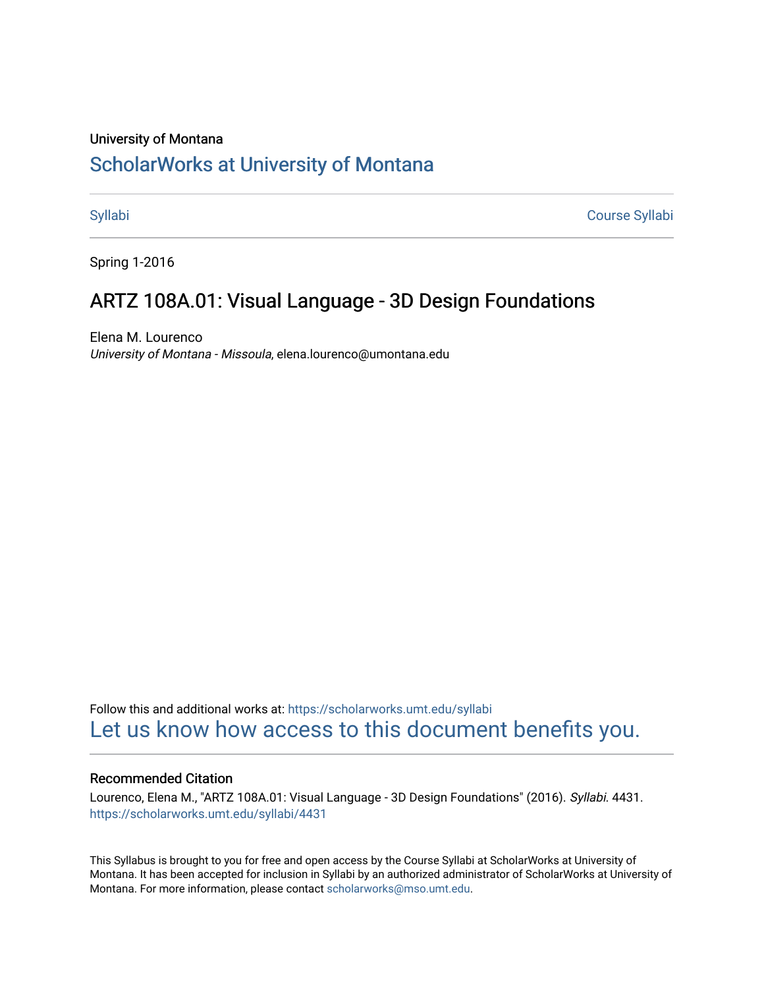# University of Montana [ScholarWorks at University of Montana](https://scholarworks.umt.edu/)

[Syllabi](https://scholarworks.umt.edu/syllabi) [Course Syllabi](https://scholarworks.umt.edu/course_syllabi) 

Spring 1-2016

# ARTZ 108A.01: Visual Language - 3D Design Foundations

Elena M. Lourenco University of Montana - Missoula, elena.lourenco@umontana.edu

Follow this and additional works at: [https://scholarworks.umt.edu/syllabi](https://scholarworks.umt.edu/syllabi?utm_source=scholarworks.umt.edu%2Fsyllabi%2F4431&utm_medium=PDF&utm_campaign=PDFCoverPages)  [Let us know how access to this document benefits you.](https://goo.gl/forms/s2rGfXOLzz71qgsB2) 

#### Recommended Citation

Lourenco, Elena M., "ARTZ 108A.01: Visual Language - 3D Design Foundations" (2016). Syllabi. 4431. [https://scholarworks.umt.edu/syllabi/4431](https://scholarworks.umt.edu/syllabi/4431?utm_source=scholarworks.umt.edu%2Fsyllabi%2F4431&utm_medium=PDF&utm_campaign=PDFCoverPages)

This Syllabus is brought to you for free and open access by the Course Syllabi at ScholarWorks at University of Montana. It has been accepted for inclusion in Syllabi by an authorized administrator of ScholarWorks at University of Montana. For more information, please contact [scholarworks@mso.umt.edu.](mailto:scholarworks@mso.umt.edu)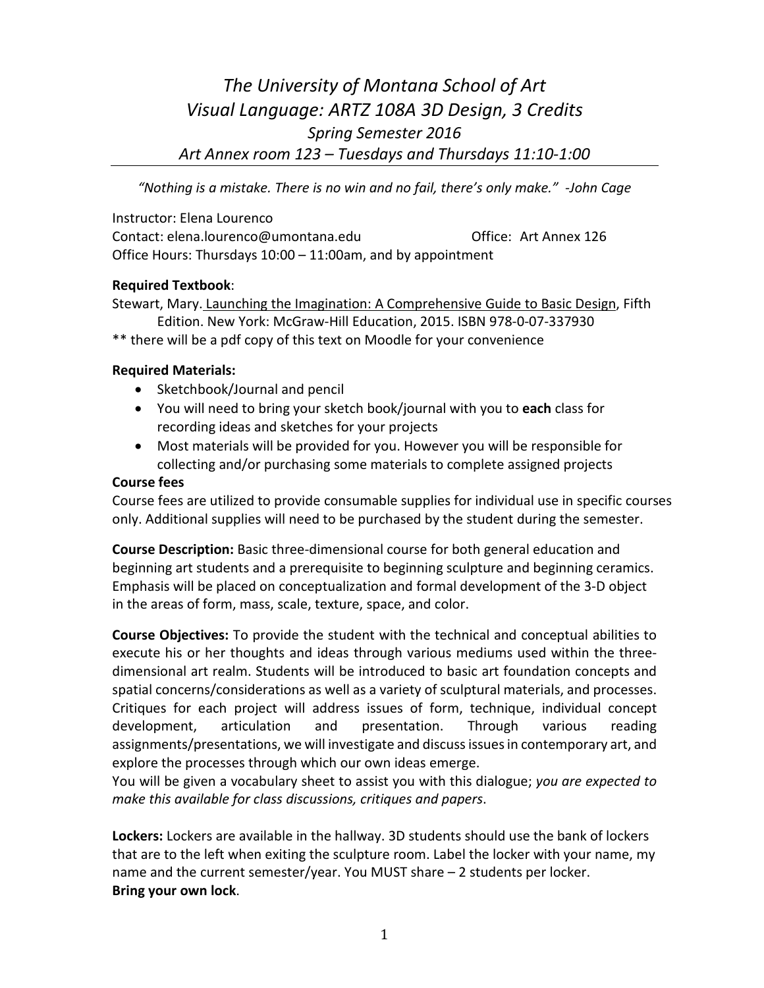# *The University of Montana School of Art Visual Language: ARTZ 108A 3D Design, 3 Credits Spring Semester 2016 Art Annex room 123 – Tuesdays and Thursdays 11:10-1:00*

*"Nothing is a mistake. There is no win and no fail, there's only make." -John Cage*

Instructor: Elena Lourenco Contact: elena.lourenco@umontana.edu Office: Art Annex 126 Office Hours: Thursdays 10:00 – 11:00am, and by appointment

# **Required Textbook**:

Stewart, Mary. Launching the Imagination: A Comprehensive Guide to Basic Design, Fifth Edition. New York: McGraw-Hill Education, 2015. ISBN 978-0-07-337930

\*\* there will be a pdf copy of this text on Moodle for your convenience

# **Required Materials:**

- Sketchbook/Journal and pencil
- You will need to bring your sketch book/journal with you to **each** class for recording ideas and sketches for your projects
- Most materials will be provided for you. However you will be responsible for collecting and/or purchasing some materials to complete assigned projects

#### **Course fees**

Course fees are utilized to provide consumable supplies for individual use in specific courses only. Additional supplies will need to be purchased by the student during the semester.

**Course Description:** Basic three-dimensional course for both general education and beginning art students and a prerequisite to beginning sculpture and beginning ceramics. Emphasis will be placed on conceptualization and formal development of the 3-D object in the areas of form, mass, scale, texture, space, and color.

**Course Objectives:** To provide the student with the technical and conceptual abilities to execute his or her thoughts and ideas through various mediums used within the threedimensional art realm. Students will be introduced to basic art foundation concepts and spatial concerns/considerations as well as a variety of sculptural materials, and processes. Critiques for each project will address issues of form, technique, individual concept development, articulation and presentation. Through various reading assignments/presentations, we will investigate and discuss issues in contemporary art, and explore the processes through which our own ideas emerge.

You will be given a vocabulary sheet to assist you with this dialogue; *you are expected to make this available for class discussions, critiques and papers*.

**Lockers:** Lockers are available in the hallway. 3D students should use the bank of lockers that are to the left when exiting the sculpture room. Label the locker with your name, my name and the current semester/year. You MUST share – 2 students per locker. **Bring your own lock**.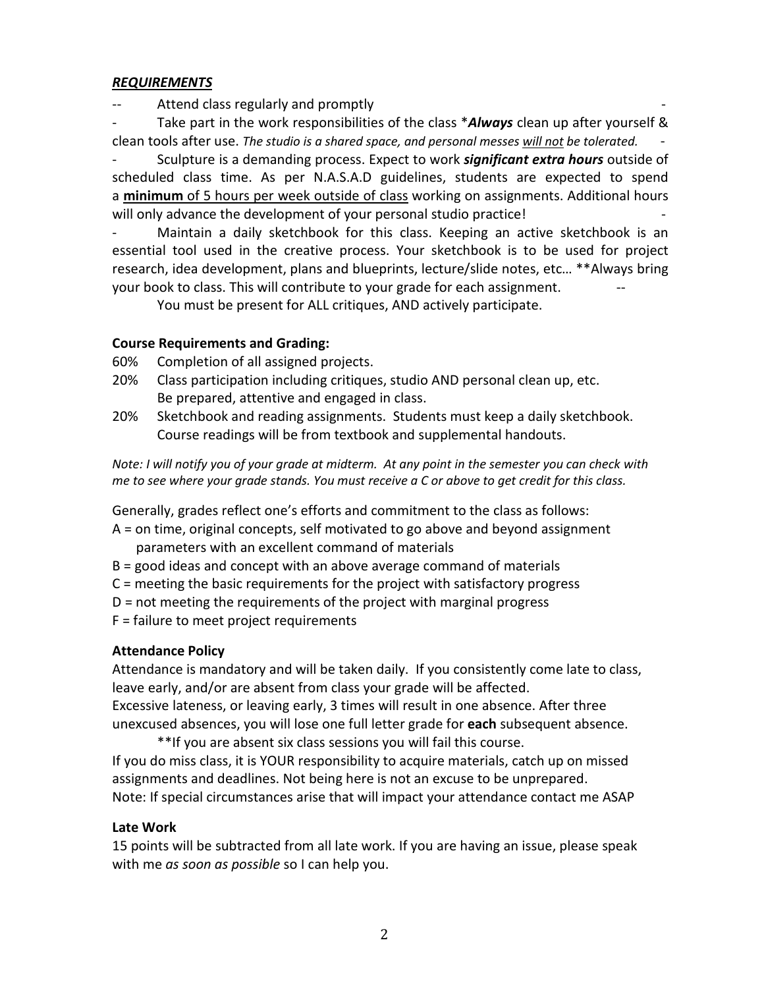# *REQUIREMENTS*

Attend class regularly and promptly

Take part in the work responsibilities of the class \*Always clean up after yourself & clean tools after use. *The studio is a shared space, and personal messes will not be tolerated.* -

- Sculpture is a demanding process. Expect to work *significant extra hours* outside of scheduled class time. As per N.A.S.A.D guidelines, students are expected to spend a **minimum** of 5 hours per week outside of class working on assignments. Additional hours will only advance the development of your personal studio practice!

Maintain a daily sketchbook for this class. Keeping an active sketchbook is an essential tool used in the creative process. Your sketchbook is to be used for project research, idea development, plans and blueprints, lecture/slide notes, etc… \*\*Always bring your book to class. This will contribute to your grade for each assignment.

You must be present for ALL critiques, AND actively participate.

# **Course Requirements and Grading:**

60% Completion of all assigned projects.

- 20% Class participation including critiques, studio AND personal clean up, etc. Be prepared, attentive and engaged in class.
- 20% Sketchbook and reading assignments. Students must keep a daily sketchbook. Course readings will be from textbook and supplemental handouts.

*Note: I will notify you of your grade at midterm. At any point in the semester you can check with me to see where your grade stands. You must receive a C or above to get credit for this class.*

Generally, grades reflect one's efforts and commitment to the class as follows:

- A = on time, original concepts, self motivated to go above and beyond assignment parameters with an excellent command of materials
- B = good ideas and concept with an above average command of materials
- C = meeting the basic requirements for the project with satisfactory progress
- D = not meeting the requirements of the project with marginal progress
- F = failure to meet project requirements

#### **Attendance Policy**

Attendance is mandatory and will be taken daily. If you consistently come late to class, leave early, and/or are absent from class your grade will be affected. Excessive lateness, or leaving early, 3 times will result in one absence. After three

unexcused absences, you will lose one full letter grade for **each** subsequent absence. \*\*If you are absent six class sessions you will fail this course.

If you do miss class, it is YOUR responsibility to acquire materials, catch up on missed assignments and deadlines. Not being here is not an excuse to be unprepared. Note: If special circumstances arise that will impact your attendance contact me ASAP

#### **Late Work**

15 points will be subtracted from all late work. If you are having an issue, please speak with me *as soon as possible* so I can help you.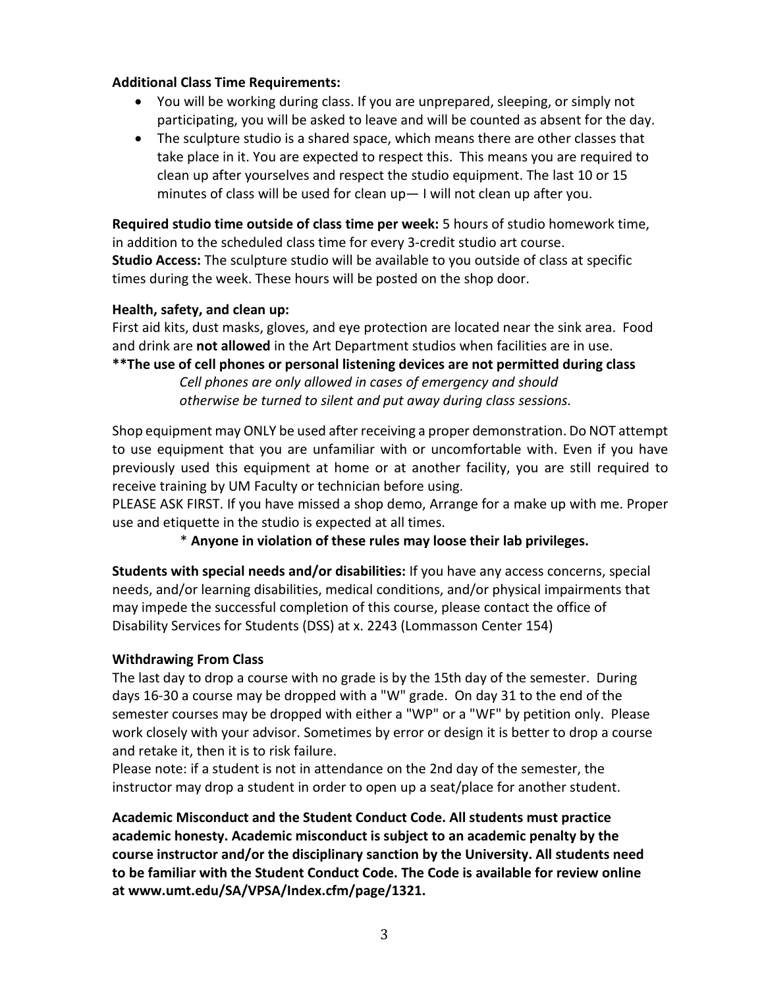### **Additional Class Time Requirements:**

- You will be working during class. If you are unprepared, sleeping, or simply not participating, you will be asked to leave and will be counted as absent for the day.
- The sculpture studio is a shared space, which means there are other classes that take place in it. You are expected to respect this. This means you are required to clean up after yourselves and respect the studio equipment. The last 10 or 15 minutes of class will be used for clean up— I will not clean up after you.

**Required studio time outside of class time per week:** 5 hours of studio homework time, in addition to the scheduled class time for every 3-credit studio art course. **Studio Access:** The sculpture studio will be available to you outside of class at specific times during the week. These hours will be posted on the shop door.

#### **Health, safety, and clean up:**

First aid kits, dust masks, gloves, and eye protection are located near the sink area. Food and drink are **not allowed** in the Art Department studios when facilities are in use.

**\*\*The use of cell phones or personal listening devices are not permitted during class** *Cell phones are only allowed in cases of emergency and should otherwise be turned to silent and put away during class sessions.* 

Shop equipment may ONLY be used after receiving a proper demonstration. Do NOT attempt to use equipment that you are unfamiliar with or uncomfortable with. Even if you have previously used this equipment at home or at another facility, you are still required to receive training by UM Faculty or technician before using.

PLEASE ASK FIRST. If you have missed a shop demo, Arrange for a make up with me. Proper use and etiquette in the studio is expected at all times.

\* **Anyone in violation of these rules may loose their lab privileges.**

**Students with special needs and/or disabilities:** If you have any access concerns, special needs, and/or learning disabilities, medical conditions, and/or physical impairments that may impede the successful completion of this course, please contact the office of Disability Services for Students (DSS) at x. 2243 (Lommasson Center 154)

#### **Withdrawing From Class**

The last day to drop a course with no grade is by the 15th day of the semester. During days 16-30 a course may be dropped with a "W" grade. On day 31 to the end of the semester courses may be dropped with either a "WP" or a "WF" by petition only. Please work closely with your advisor. Sometimes by error or design it is better to drop a course and retake it, then it is to risk failure.

Please note: if a student is not in attendance on the 2nd day of the semester, the instructor may drop a student in order to open up a seat/place for another student.

**Academic Misconduct and the Student Conduct Code. All students must practice academic honesty. Academic misconduct is subject to an academic penalty by the course instructor and/or the disciplinary sanction by the University. All students need to be familiar with the Student Conduct Code. The Code is available for review online at www.umt.edu/SA/VPSA/Index.cfm/page/1321.**